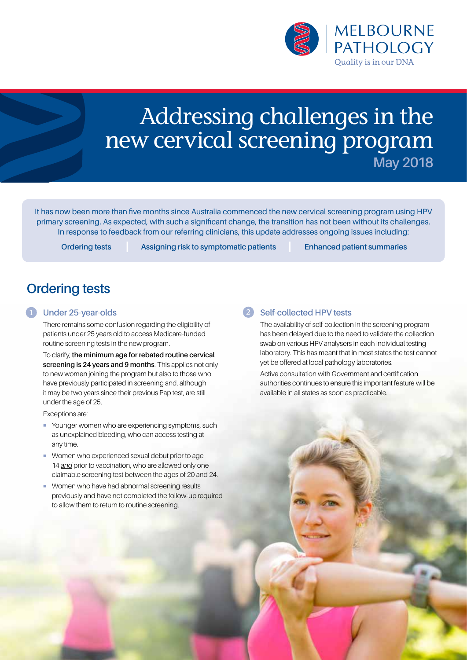

# Addressing challenges in the new cervical screening program **May 2018**

It has now been more than five months since Australia commenced the new cervical screening program using HPV primary screening. As expected, with such a significant change, the transition has not been without its challenges. In response to feedback from our referring clinicians, this update addresses ongoing issues including:

**Ordering tests Assigning risk to symptomatic patients Enhanced patient summaries** 

## **Ordering tests**

#### **Under 25-year-olds** 1

There remains some confusion regarding the eligibility of patients under 25 years old to access Medicare-funded routine screening tests in the new program.

To clarify, **the minimum age for rebated routine cervical screening is 24 years and 9 months**. This applies not only to new women joining the program but also to those who have previously participated in screening and, although it may be two years since their previous Pap test, are still under the age of 25.

Exceptions are:

- ¡ Younger women who are experiencing symptoms, such as unexplained bleeding, who can access testing at any time.
- **Women who experienced sexual debut prior to age** 14 *and* prior to vaccination, who are allowed only one claimable screening test between the ages of 20 and 24.
- **Women who have had abnormal screening results** previously and have not completed the follow-up required to allow them to return to routine screening.

#### **Self-collected HPV tests**

The availability of self-collection in the screening program has been delayed due to the need to validate the collection swab on various HPV analysers in each individual testing laboratory. This has meant that in most states the test cannot yet be offered at local pathology laboratories.

Active consultation with Government and certification authorities continues to ensure this important feature will be available in all states as soon as practicable.